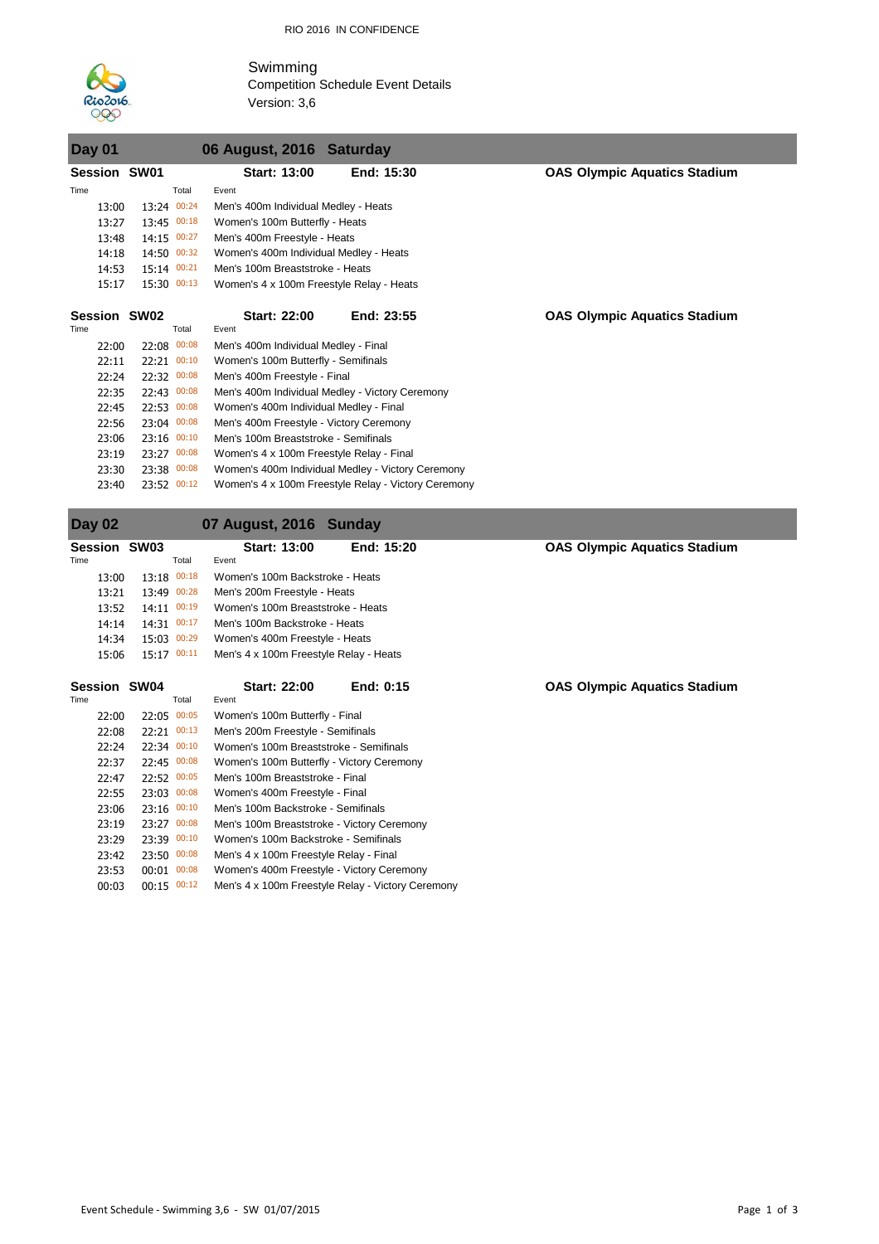#### RIO 2016 IN CONFIDENCE



Swimming Competition Schedule Event Details Version: 3,6

| Day 01                      |             | 06 August, 2016 Saturday                 |                                                     |                                     |  |  |  |
|-----------------------------|-------------|------------------------------------------|-----------------------------------------------------|-------------------------------------|--|--|--|
| <b>Session SW01</b>         |             | <b>Start: 13:00</b>                      | End: 15:30                                          | <b>OAS Olympic Aquatics Stadium</b> |  |  |  |
| Time                        | Total       | Event                                    |                                                     |                                     |  |  |  |
| 13:00                       | 13:24 00:24 | Men's 400m Individual Medley - Heats     |                                                     |                                     |  |  |  |
| 13:27                       | 13:45 00:18 | Women's 100m Butterfly - Heats           |                                                     |                                     |  |  |  |
| 13:48                       | 14:15 00:27 | Men's 400m Freestyle - Heats             |                                                     |                                     |  |  |  |
| 14:18                       | 14:50 00:32 | Women's 400m Individual Medley - Heats   |                                                     |                                     |  |  |  |
| 14:53                       | 15:14 00:21 | Men's 100m Breaststroke - Heats          |                                                     |                                     |  |  |  |
| 15:17                       | 15:30 00:13 | Women's 4 x 100m Freestyle Relay - Heats |                                                     |                                     |  |  |  |
| <b>Session SW02</b><br>Time | Total       | <b>Start: 22:00</b><br>Event             | End: 23:55                                          | <b>OAS Olympic Aquatics Stadium</b> |  |  |  |
| 22:00                       | 22:08 00:08 | Men's 400m Individual Medley - Final     |                                                     |                                     |  |  |  |
| 22:11                       | 22:21 00:10 | Women's 100m Butterfly - Semifinals      |                                                     |                                     |  |  |  |
| 22:24                       | 22:32 00:08 | Men's 400m Freestyle - Final             |                                                     |                                     |  |  |  |
| 22:35                       | 22:43 00:08 |                                          | Men's 400m Individual Medley - Victory Ceremony     |                                     |  |  |  |
| 22:45                       | 22:53 00:08 |                                          | Women's 400m Individual Medley - Final              |                                     |  |  |  |
| 22:56                       | 23:04 00:08 |                                          | Men's 400m Freestyle - Victory Ceremony             |                                     |  |  |  |
| 23:06                       | 23:16 00:10 |                                          | Men's 100m Breaststroke - Semifinals                |                                     |  |  |  |
| 23:19                       | 23:27 00:08 | Women's 4 x 100m Freestyle Relay - Final |                                                     |                                     |  |  |  |
| 23:30                       | 23:38 00:08 |                                          | Women's 400m Individual Medley - Victory Ceremony   |                                     |  |  |  |
| 23:40                       | 23:52 00:12 |                                          | Women's 4 x 100m Freestyle Relay - Victory Ceremony |                                     |  |  |  |

| 02 (Oay | 07 August, 2016 Sunday |  |
|---------|------------------------|--|
|         |                        |  |

| <b>Session SW03</b><br>Time | Total       | <b>Start: 13:00</b><br>Event               | End: 15:20 | <b>OAS Olympic Aquatics Stadium</b> |  |
|-----------------------------|-------------|--------------------------------------------|------------|-------------------------------------|--|
|                             |             |                                            |            |                                     |  |
| 13:00                       | 13:18 00:18 | Women's 100m Backstroke - Heats            |            |                                     |  |
| 13:21                       | 13:49 00:28 | Men's 200m Freestyle - Heats               |            |                                     |  |
| 13:52                       | 14:11 00:19 | Women's 100m Breaststroke - Heats          |            |                                     |  |
| 14:14                       | 14:31 00:17 | Men's 100m Backstroke - Heats              |            |                                     |  |
| 14:34                       | 15:03 00:29 | Women's 400m Freestyle - Heats             |            |                                     |  |
| 15:06                       | 15:17 00:11 | Men's 4 x 100m Freestyle Relay - Heats     |            |                                     |  |
| <b>Session SW04</b>         |             | <b>Start: 22:00</b>                        | End: 0:15  | <b>OAS Olympic Aquatics Stadium</b> |  |
| Time                        | Total       | Event                                      |            |                                     |  |
| 22:00                       | 22:05 00:05 | Women's 100m Butterfly - Final             |            |                                     |  |
| 22:08                       | 22:21 00:13 | Men's 200m Freestyle - Semifinals          |            |                                     |  |
| 22:24                       | 22:34 00:10 | Women's 100m Breaststroke - Semifinals     |            |                                     |  |
| 22:37                       | 22:45 00:08 | Women's 100m Butterfly - Victory Ceremony  |            |                                     |  |
| 22:47                       | 22:52 00:05 | Men's 100m Breaststroke - Final            |            |                                     |  |
| 22:55                       | 23:03 00:08 | Women's 400m Freestyle - Final             |            |                                     |  |
| 23:06                       | 23:16 00:10 | Men's 100m Backstroke - Semifinals         |            |                                     |  |
| 23:19                       | 23:27 00:08 | Men's 100m Breaststroke - Victory Ceremony |            |                                     |  |
| 23:29                       | 23:39 00:10 | Women's 100m Backstroke - Semifinals       |            |                                     |  |
| 23:42                       | 23:50 00:08 | Men's 4 x 100m Freestyle Relay - Final     |            |                                     |  |
| 23:53                       | 00:01 00:08 | Women's 400m Freestyle - Victory Ceremony  |            |                                     |  |

#### 00:03 00:15 00:12 Men's 4 x 100m Freestyle Relay - Victory Ceremony

Event Schedule - Swimming 3,6 - SW 01/07/2015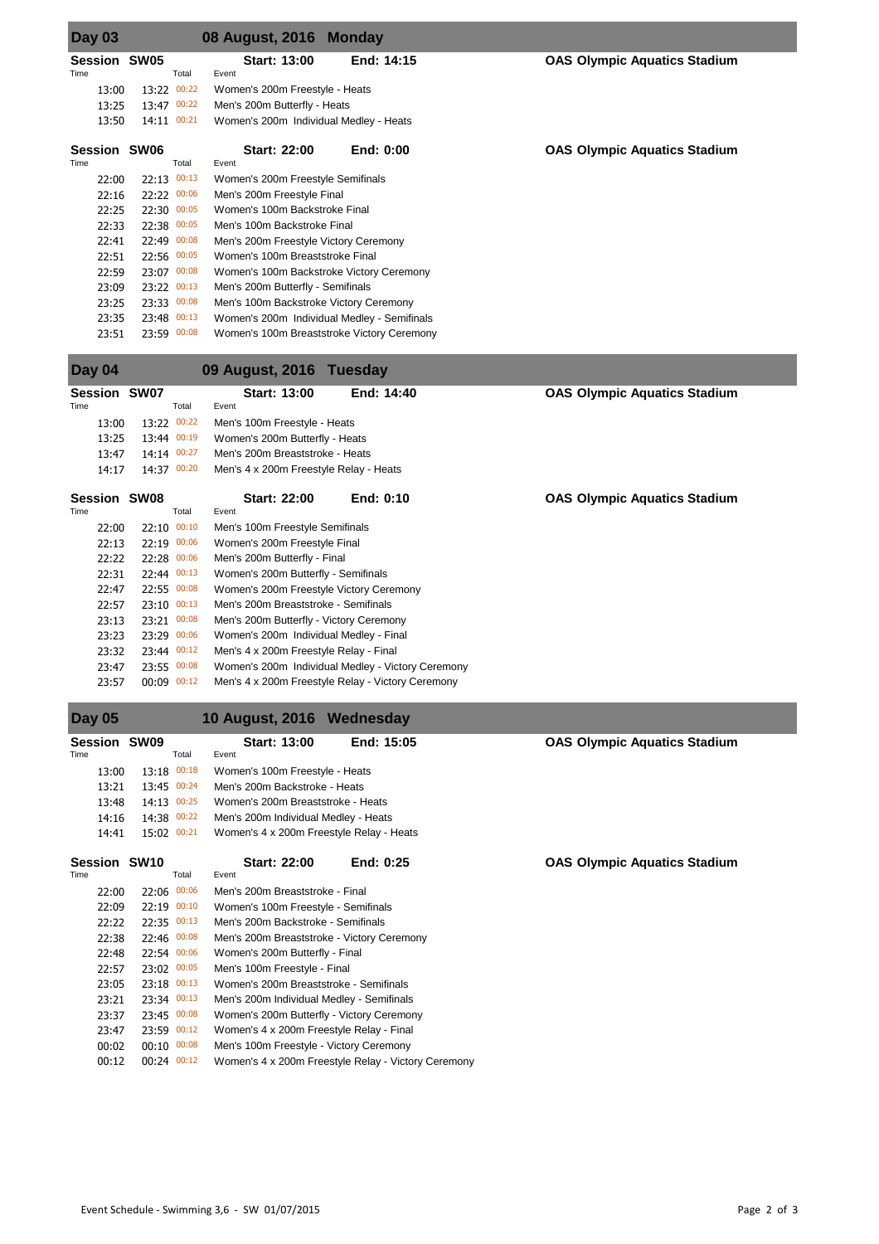| <b>Day 03</b>               |             | 08 August, 2016 Monday                 |                                             |                                     |  |  |
|-----------------------------|-------------|----------------------------------------|---------------------------------------------|-------------------------------------|--|--|
| <b>Session SW05</b><br>Time | Total       | <b>Start: 13:00</b><br>Event           | End: 14:15                                  | <b>OAS Olympic Aquatics Stadium</b> |  |  |
| 13:00                       | 13:22 00:22 | Women's 200m Freestyle - Heats         |                                             |                                     |  |  |
| 13:25                       | 13:47 00:22 | Men's 200m Butterfly - Heats           |                                             |                                     |  |  |
| 13:50                       | 14:11 00:21 | Women's 200m Individual Medley - Heats |                                             |                                     |  |  |
| <b>Session SW06</b><br>Time | Total       | <b>Start: 22:00</b><br>Event           | End: 0:00                                   | <b>OAS Olympic Aquatics Stadium</b> |  |  |
| 22:00                       | 22:13 00:13 |                                        | Women's 200m Freestyle Semifinals           |                                     |  |  |
| 22:16                       | 22:22 00:06 |                                        | Men's 200m Freestyle Final                  |                                     |  |  |
| 22:25                       | 22:30 00:05 | Women's 100m Backstroke Final          |                                             |                                     |  |  |
| 22:33                       | 22:38 00:05 | Men's 100m Backstroke Final            |                                             |                                     |  |  |
| 22:41                       | 22:49 00:08 | Men's 200m Freestyle Victory Ceremony  |                                             |                                     |  |  |
| 22:51                       | 22:56 00:05 |                                        | Women's 100m Breaststroke Final             |                                     |  |  |
| 22:59                       | 23:07 00:08 |                                        | Women's 100m Backstroke Victory Ceremony    |                                     |  |  |
| 23:09                       | 23:22 00:13 |                                        | Men's 200m Butterfly - Semifinals           |                                     |  |  |
| 23:25                       | 23:33 00:08 |                                        | Men's 100m Backstroke Victory Ceremony      |                                     |  |  |
| 23:35                       | 23:48 00:13 |                                        | Women's 200m Individual Medley - Semifinals |                                     |  |  |
| 23:51                       | 23:59 00:08 |                                        | Women's 100m Breaststroke Victory Ceremony  |                                     |  |  |

| Day 04 |        | 09 August, 2016 Tuesday |  |
|--------|--------|-------------------------|--|
|        | ------ |                         |  |

| <b>Session SW07</b>         |             |       | <b>Start: 13:00</b>                    | End: 14:40 | <b>OAS Olympic Aquatics Stadium</b> |
|-----------------------------|-------------|-------|----------------------------------------|------------|-------------------------------------|
| Time                        |             | Total | Event                                  |            |                                     |
| 13:00                       | 13:22 00:22 |       | Men's 100m Freestyle - Heats           |            |                                     |
| 13:25                       | 13:44 00:19 |       | Women's 200m Butterfly - Heats         |            |                                     |
| 13:47                       | 14:14 00:27 |       | Men's 200m Breaststroke - Heats        |            |                                     |
| 14:17                       | 14:37 00:20 |       | Men's 4 x 200m Freestyle Relay - Heats |            |                                     |
| <b>Session SW08</b><br>Time |             | Total | <b>Start: 22:00</b><br>Event           | End: 0:10  | <b>OAS Olympic Aquatics Stadium</b> |

- 22:48 22:54 00:06 Women's 200m Butterfly Final
- 22:57 23:02 00:05 Men's 100m Freestyle Final
- 23:05 23:18 00:13 Women's 200m Breaststroke Semifinals
- 23:21 23:34 00:13 Men's 200m Individual Medley Semifinals
- 23:37 23:45 00:08 Women's 200m Butterfly Victory Ceremony
- 23:47 23:59 00:12 Women's 4 x 200m Freestyle Relay Final
- 00:02 00:10 00:08 Men's 100m Freestyle Victory Ceremony
- 00:12 00:24 00:12 Women's 4 x 200m Freestyle Relay Victory Ceremony

| ,,,,, |       |             | 1 U LUI | ᄂ᠈◡៲៶                                             |
|-------|-------|-------------|---------|---------------------------------------------------|
|       | 22:00 | 22:10       | 00:10   | Men's 100m Freestyle Semifinals                   |
|       | 22:13 | 22:19       | 00:06   | Women's 200m Freestyle Final                      |
|       | 22:22 | 22:28       | 00:06   | Men's 200m Butterfly - Final                      |
|       | 22:31 | 22:44 00:13 |         | Women's 200m Butterfly - Semifinals               |
|       | 22:47 | 22:55       | 00:08   | Women's 200m Freestyle Victory Ceremony           |
|       | 22:57 | 23:10       | 00:13   | Men's 200m Breaststroke - Semifinals              |
|       | 23:13 | 23:21       | 00:08   | Men's 200m Butterfly - Victory Ceremony           |
|       | 23:23 | 23:29 00:06 |         | Women's 200m Individual Medley - Final            |
|       | 23:32 | 23:44 00:12 |         | Men's 4 x 200m Freestyle Relay - Final            |
|       | 23:47 | 23:55       | 00:08   | Women's 200m Individual Medley - Victory Ceremony |
|       | 23:57 | 00:09       | 00:12   | Men's 4 x 200m Freestyle Relay - Victory Ceremony |
|       |       |             |         |                                                   |

|  | <b>Service Service</b><br><b>Contract Contract Contract Contract Contract Contract Contract Contract Contract Contract Contract Contract Co</b> |
|--|-------------------------------------------------------------------------------------------------------------------------------------------------|
|  |                                                                                                                                                 |

### **2016** Wednesday

| <b>SW09</b>          | <b>Start: 13:00</b> | End: 15:05 | <b>OAS Olympic Aquatics Stadium</b>                                                                                                                                                                                                                                                                                                                    |
|----------------------|---------------------|------------|--------------------------------------------------------------------------------------------------------------------------------------------------------------------------------------------------------------------------------------------------------------------------------------------------------------------------------------------------------|
| Total                | Event               |            |                                                                                                                                                                                                                                                                                                                                                        |
| 13:18 00:18<br>13:00 |                     |            |                                                                                                                                                                                                                                                                                                                                                        |
| 13:45 00:24<br>13:21 |                     |            |                                                                                                                                                                                                                                                                                                                                                        |
| 14:13 00:25<br>13:48 |                     |            |                                                                                                                                                                                                                                                                                                                                                        |
| 14:38 00:22<br>14:16 |                     |            |                                                                                                                                                                                                                                                                                                                                                        |
| 15:02 00:21<br>14:41 |                     |            |                                                                                                                                                                                                                                                                                                                                                        |
| <b>Session SW10</b>  | <b>Start: 22:00</b> | End: 0:25  | <b>OAS Olympic Aquatics Stadium</b>                                                                                                                                                                                                                                                                                                                    |
| Total                | Event               |            |                                                                                                                                                                                                                                                                                                                                                        |
| 22:06 00:06<br>22:00 |                     |            |                                                                                                                                                                                                                                                                                                                                                        |
| 22:19 00:10<br>22:09 |                     |            |                                                                                                                                                                                                                                                                                                                                                        |
| 22:35 00:13<br>22:22 |                     |            |                                                                                                                                                                                                                                                                                                                                                        |
| 22:46 00:08<br>22:38 |                     |            |                                                                                                                                                                                                                                                                                                                                                        |
|                      |                     |            | Women's 100m Freestyle - Heats<br>Men's 200m Backstroke - Heats<br>Women's 200m Breaststroke - Heats<br>Men's 200m Individual Medley - Heats<br>Women's 4 x 200m Freestyle Relay - Heats<br>Men's 200m Breaststroke - Final<br>Women's 100m Freestyle - Semifinals<br>Men's 200m Backstroke - Semifinals<br>Men's 200m Breaststroke - Victory Ceremony |